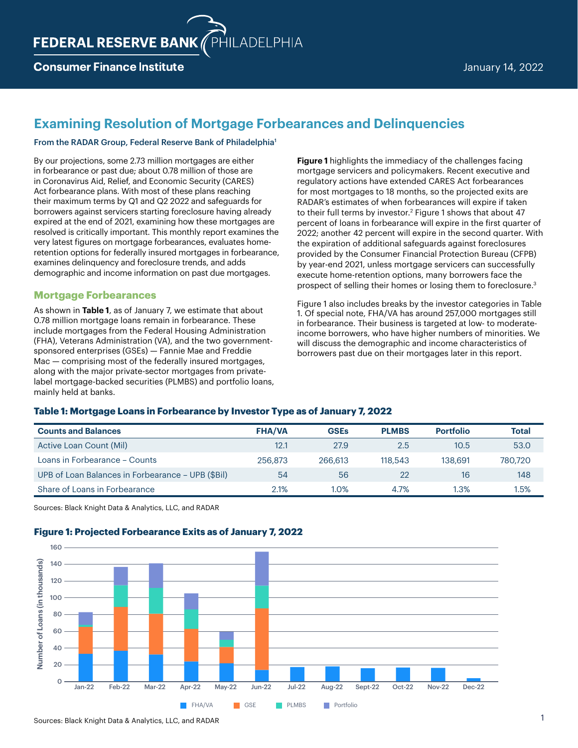## **Consumer Finance Institute**

# **Examining Resolution of Mortgage Forbearances and Delinquencies**

#### From the RADAR Group, Federal Reserve Bank of Philadelphia1

By our projections, some 2.73 million mortgages are either in forbearance or past due; about 0.78 million of those are in Coronavirus Aid, Relief, and Economic Security (CARES) Act forbearance plans. With most of these plans reaching their maximum terms by Q1 and Q2 2022 and safeguards for borrowers against servicers starting foreclosure having already expired at the end of 2021, examining how these mortgages are resolved is critically important. This monthly report examines the very latest figures on mortgage forbearances, evaluates homeretention options for federally insured mortgages in forbearance, examines delinquency and foreclosure trends, and adds demographic and income information on past due mortgages.

## **Mortgage Forbearances**

As shown in **Table 1**, as of January 7, we estimate that about 0.78 million mortgage loans remain in forbearance. These include mortgages from the Federal Housing Administration (FHA), Veterans Administration (VA), and the two governmentsponsored enterprises (GSEs) — Fannie Mae and Freddie Mac – comprising most of the federally insured mortgages, along with the major private-sector mortgages from privatelabel mortgage-backed securities (PLMBS) and portfolio loans, mainly held at banks.

**Figure 1** highlights the immediacy of the challenges facing mortgage servicers and policymakers. Recent executive and regulatory actions have extended CARES Act forbearances for most mortgages to 18 months, so the projected exits are RADAR's estimates of when forbearances will expire if taken to their full terms by investor.<sup>2</sup> Figure 1 shows that about 47 percent of loans in forbearance will expire in the first quarter of 2022; another 42 percent will expire in the second quarter. With the expiration of additional safeguards against foreclosures provided by the Consumer Financial Protection Bureau (CFPB) by year-end 2021, unless mortgage servicers can successfully execute home-retention options, many borrowers face the prospect of selling their homes or losing them to foreclosure.3

Figure 1 also includes breaks by the investor categories in Table 1. Of special note, FHA/VA has around 257,000 mortgages still in forbearance. Their business is targeted at low- to moderateincome borrowers, who have higher numbers of minorities. We will discuss the demographic and income characteristics of borrowers past due on their mortgages later in this report.

## **Table 1: Mortgage Loans in Forbearance by Investor Type as of January 7, 2022**

| <b>Counts and Balances</b>                        | <b>FHA/VA</b> | <b>GSEs</b> | <b>PLMBS</b> | <b>Portfolio</b> | <b>Total</b> |
|---------------------------------------------------|---------------|-------------|--------------|------------------|--------------|
| Active Loan Count (Mil)                           | 12.1          | 27.9        | 2.5          | 10.5             | 53.0         |
| Loans in Forbearance - Counts                     | 256.873       | 266,613     | 118.543      | 138,691          | 780.720      |
| UPB of Loan Balances in Forbearance - UPB (\$Bil) | 54            | 56          | 22           | 16               | 148          |
| Share of Loans in Forbearance                     | 2.1%          | 1.0%        | 4.7%         | 1.3%             | l.5%         |

Sources: Black Knight Data & Analytics, LLC, and RADAR

## **Figure 1: Projected Forbearance Exits as of January 7, 2022**

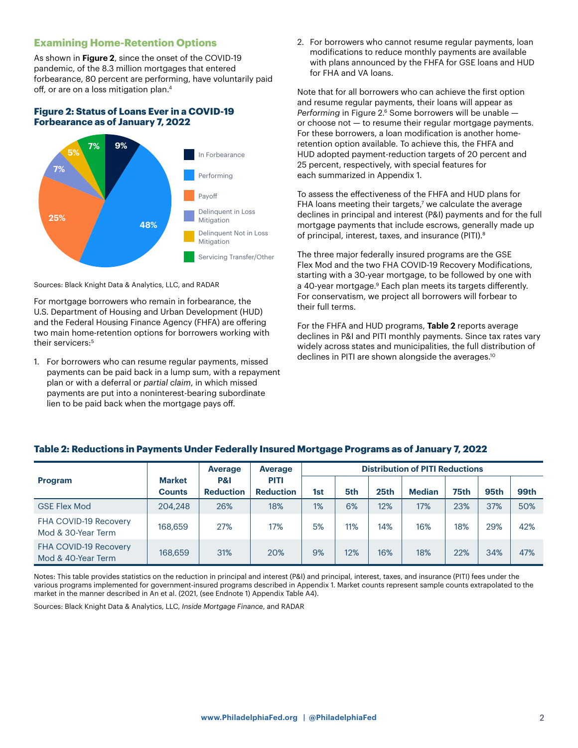## **Examining Home-Retention Options**

As shown in **Figure 2**, since the onset of the COVID-19 pandemic, of the 8.3 million mortgages that entered forbearance, 80 percent are performing, have voluntarily paid off, or are on a loss mitigation plan.4

#### **Figure 2: Status of Loans Ever in a COVID-19 Forbearance as of January 7, 2022**



Sources: Black Knight Data & Analytics, LLC, and RADAR

For mortgage borrowers who remain in forbearance, the U.S. Department of Housing and Urban Development (HUD) and the Federal Housing Finance Agency (FHFA) are offering two main home-retention options for borrowers working with their servicers:<sup>5</sup>

1. For borrowers who can resume regular payments, missed payments can be paid back in a lump sum, with a repayment plan or with a deferral or *partial claim*, in which missed payments are put into a noninterest-bearing subordinate lien to be paid back when the mortgage pays off.

2. For borrowers who cannot resume regular payments, loan modifications to reduce monthly payments are available with plans announced by the FHFA for GSE loans and HUD for FHA and VA loans.

Note that for all borrowers who can achieve the first option and resume regular payments, their loans will appear as *Performing* in Figure 2.6 Some borrowers will be unable or choose not — to resume their regular mortgage payments. For these borrowers, a loan modification is another homeretention option available. To achieve this, the FHFA and HUD adopted payment-reduction targets of 20 percent and 25 percent, respectively, with special features for each summarized in Appendix 1.

To assess the effectiveness of the FHFA and HUD plans for FHA loans meeting their targets,<sup>7</sup> we calculate the average declines in principal and interest (P&I) payments and for the full mortgage payments that include escrows, generally made up of principal, interest, taxes, and insurance (PITI).8

The three major federally insured programs are the GSE Flex Mod and the two FHA COVID-19 Recovery Modifications, starting with a 30-year mortgage, to be followed by one with a 40-year mortgage.<sup>9</sup> Each plan meets its targets differently. For conservatism, we project all borrowers will forbear to their full terms.

For the FHFA and HUD programs, **Table 2** reports average declines in P&I and PITI monthly payments. Since tax rates vary widely across states and municipalities, the full distribution of declines in PITI are shown alongside the averages.<sup>10</sup>

|                                             | <b>Distribution of PITI Reductions</b><br><b>Average</b><br><b>Average</b> |                         |                                 |     |     |                  |               |      |      |      |
|---------------------------------------------|----------------------------------------------------------------------------|-------------------------|---------------------------------|-----|-----|------------------|---------------|------|------|------|
| <b>Program</b>                              | <b>Market</b><br><b>Counts</b>                                             | P&I<br><b>Reduction</b> | <b>PITI</b><br><b>Reduction</b> | 1st | 5th | 25 <sub>th</sub> | <b>Median</b> | 75th | 95th | 99th |
| <b>GSE Flex Mod</b>                         | 204,248                                                                    | 26%                     | 18%                             | 1%  | 6%  | 12%              | 17%           | 23%  | 37%  | 50%  |
| FHA COVID-19 Recovery<br>Mod & 30-Year Term | 168,659                                                                    | 27%                     | 17%                             | 5%  | 11% | 14%              | 16%           | 18%  | 29%  | 42%  |
| FHA COVID-19 Recovery<br>Mod & 40-Year Term | 168,659                                                                    | 31%                     | 20%                             | 9%  | 12% | 16%              | 18%           | 22%  | 34%  | 47%  |

#### **Table 2: Reductions in Payments Under Federally Insured Mortgage Programs as of January 7, 2022**

Notes: This table provides statistics on the reduction in principal and interest (P&I) and principal, interest, taxes, and insurance (PITI) fees under the various programs implemented for government-insured programs described in Appendix 1. Market counts represent sample counts extrapolated to the market in the manner described in An et al. (2021, (see Endnote 1) Appendix Table A4).

Sources: Black Knight Data & Analytics, LLC, *Inside Mortgage Finance*, and RADAR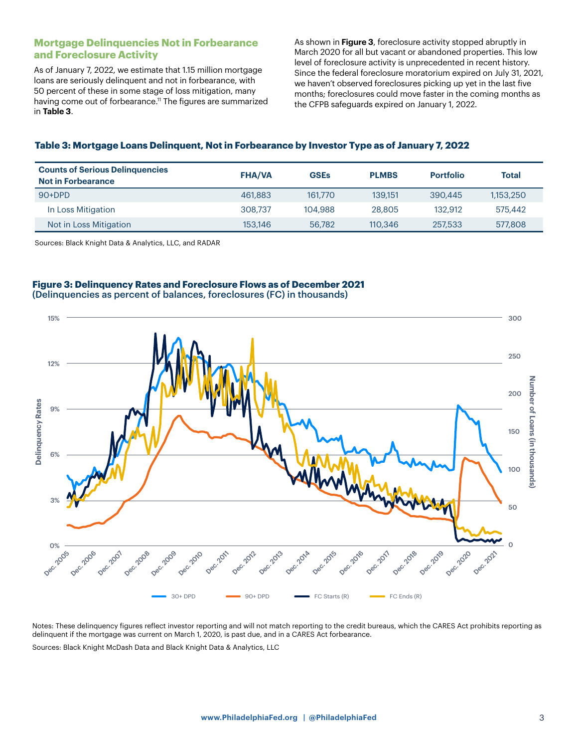## **Mortgage Delinquencies Not in Forbearance and Foreclosure Activity**

As of January 7, 2022, we estimate that 1.15 million mortgage loans are seriously delinquent and not in forbearance, with 50 percent of these in some stage of loss mitigation, many having come out of forbearance.<sup>11</sup> The figures are summarized in **Table 3**.

As shown in **Figure 3**, foreclosure activity stopped abruptly in March 2020 for all but vacant or abandoned properties. This low level of foreclosure activity is unprecedented in recent history. Since the federal foreclosure moratorium expired on July 31, 2021, we haven't observed foreclosures picking up yet in the last five months; foreclosures could move faster in the coming months as the CFPB safeguards expired on January 1, 2022.

#### **Table 3: Mortgage Loans Delinquent, Not in Forbearance by Investor Type as of January 7, 2022**

| <b>Counts of Serious Delinguencies</b><br><b>Not in Forbearance</b> | <b>FHA/VA</b> | <b>GSEs</b> | <b>PLMBS</b> | <b>Portfolio</b> | <b>Total</b> |
|---------------------------------------------------------------------|---------------|-------------|--------------|------------------|--------------|
| $90+DPD$                                                            | 461,883       | 161,770     | 139.151      | 390,445          | 1.153.250    |
| In Loss Mitigation                                                  | 308.737       | 104,988     | 28,805       | 132.912          | 575,442      |
| Not in Loss Mitigation                                              | 153,146       | 56,782      | 110,346      | 257,533          | 577,808      |

Sources: Black Knight Data & Analytics, LLC, and RADAR

## **Figure 3: Delinquency Rates and Foreclosure Flows as of December 2021** (Delinquencies as percent of balances, foreclosures (FC) in thousands)



Notes: These delinquency figures reflect investor reporting and will not match reporting to the credit bureaus, which the CARES Act prohibits reporting as delinquent if the mortgage was current on March 1, 2020, is past due, and in a CARES Act forbearance.

Sources: Black Knight McDash Data and Black Knight Data & Analytics, LLC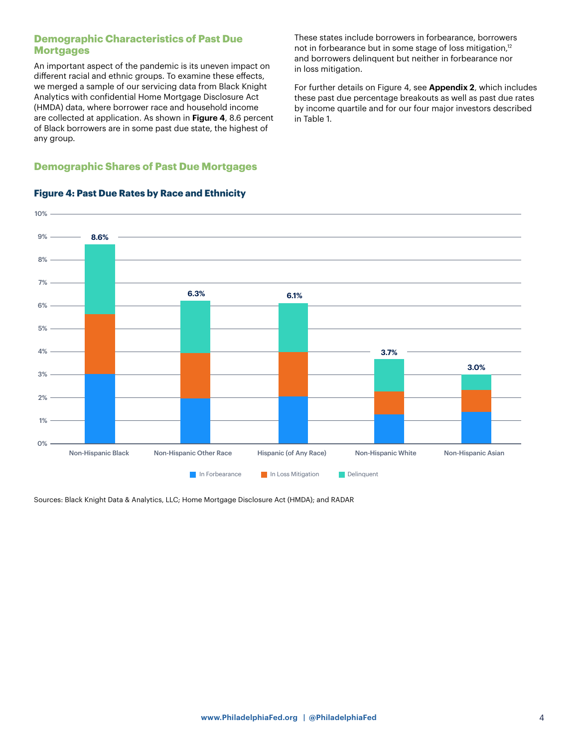## **Demographic Characteristics of Past Due Mortgages**

An important aspect of the pandemic is its uneven impact on different racial and ethnic groups. To examine these effects, we merged a sample of our servicing data from Black Knight Analytics with confidential Home Mortgage Disclosure Act (HMDA) data, where borrower race and household income are collected at application. As shown in **Figure 4**, 8.6 percent of Black borrowers are in some past due state, the highest of any group.

## **Demographic Shares of Past Due Mortgages**

10%  $9\%$   $-$ 8% 7% 5% 3% 6% 4% 2% 1% 0% **In Forbearance In Loss Mitigation Delinquent** Non-Hispanic Black Non-Hispanic Other Race Hispanic (of Any Race) Non-Hispanic White Non-Hispanic Asian **8.6% 6.3% 6.1% 3.7% 3.0%**

## **Figure 4: Past Due Rates by Race and Ethnicity**

Sources: Black Knight Data & Analytics, LLC; Home Mortgage Disclosure Act (HMDA); and RADAR

**[www.PhiladelphiaFed.org](https://www.philadelphiafed.org/) | [@PhiladelphiaFed](https://twitter.com/philadelphiafed)** 4

These states include borrowers in forbearance, borrowers not in forbearance but in some stage of loss mitigation,<sup>12</sup> and borrowers delinquent but neither in forbearance nor in loss mitigation.

For further details on Figure 4, see **Appendix 2**, which includes these past due percentage breakouts as well as past due rates by income quartile and for our four major investors described in Table 1.

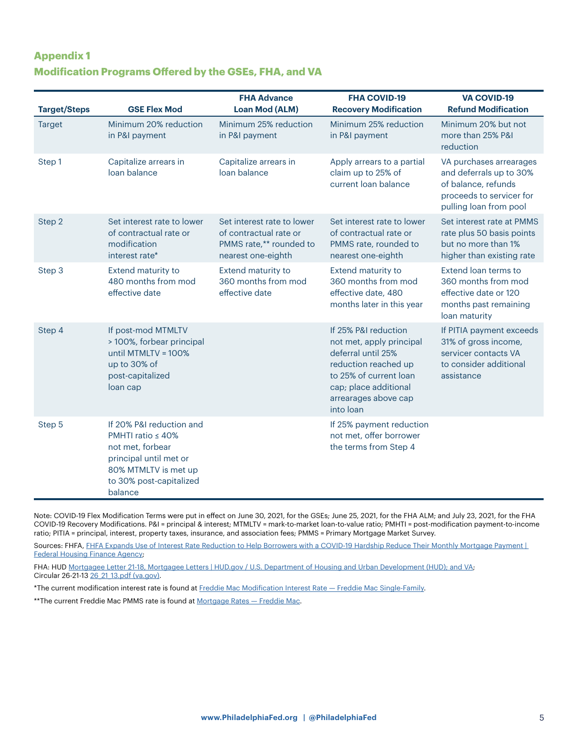## **Appendix 1 Modification Programs Offered by the GSEs, FHA, and VA**

| <b>Target/Steps</b> | <b>GSE Flex Mod</b>                                                                                                                                             | <b>FHA Advance</b><br><b>Loan Mod (ALM)</b>                                                           | <b>FHA COVID-19</b><br><b>Recovery Modification</b>                                                                                                                                    | <b>VA COVID-19</b><br><b>Refund Modification</b>                                                                                |
|---------------------|-----------------------------------------------------------------------------------------------------------------------------------------------------------------|-------------------------------------------------------------------------------------------------------|----------------------------------------------------------------------------------------------------------------------------------------------------------------------------------------|---------------------------------------------------------------------------------------------------------------------------------|
| <b>Target</b>       | Minimum 20% reduction<br>in P&I payment                                                                                                                         | Minimum 25% reduction<br>in P&I payment                                                               | Minimum 25% reduction<br>in P&I payment                                                                                                                                                | Minimum 20% but not<br>more than 25% P&I<br>reduction                                                                           |
| Step 1              | Capitalize arrears in<br>loan balance                                                                                                                           | Capitalize arrears in<br>loan balance                                                                 | Apply arrears to a partial<br>claim up to 25% of<br>current loan balance                                                                                                               | VA purchases arrearages<br>and deferrals up to 30%<br>of balance, refunds<br>proceeds to servicer for<br>pulling loan from pool |
| Step 2              | Set interest rate to lower<br>of contractual rate or<br>modification<br>interest rate*                                                                          | Set interest rate to lower<br>of contractual rate or<br>PMMS rate,** rounded to<br>nearest one-eighth | Set interest rate to lower<br>of contractual rate or<br>PMMS rate, rounded to<br>nearest one-eighth                                                                                    | Set interest rate at PMMS<br>rate plus 50 basis points<br>but no more than 1%<br>higher than existing rate                      |
| Step 3              | Extend maturity to<br>480 months from mod<br>effective date                                                                                                     | <b>Extend maturity to</b><br>360 months from mod<br>effective date                                    | Extend maturity to<br>360 months from mod<br>effective date, 480<br>months later in this year                                                                                          | Extend loan terms to<br>360 months from mod<br>effective date or 120<br>months past remaining<br>loan maturity                  |
| Step 4              | If post-mod MTMLTV<br>> 100%, forbear principal<br>until MTMLTV = 100%<br>up to 30% of<br>post-capitalized<br>loan cap                                          |                                                                                                       | If 25% P&I reduction<br>not met, apply principal<br>deferral until 25%<br>reduction reached up<br>to 25% of current loan<br>cap; place additional<br>arrearages above cap<br>into loan | If PITIA payment exceeds<br>31% of gross income,<br>servicer contacts VA<br>to consider additional<br>assistance                |
| Step 5              | If 20% P&I reduction and<br>PMHTI ratio $\leq 40\%$<br>not met, forbear<br>principal until met or<br>80% MTMLTV is met up<br>to 30% post-capitalized<br>balance |                                                                                                       | If 25% payment reduction<br>not met, offer borrower<br>the terms from Step 4                                                                                                           |                                                                                                                                 |

Note: COVID-19 Flex Modification Terms were put in effect on June 30, 2021, for the GSEs; June 25, 2021, for the FHA ALM; and July 23, 2021, for the FHA COVID-19 Recovery Modifications. P&I = principal & interest; MTMLTV = mark-to-market loan-to-value ratio; PMHTI = post-modification payment-to-income ratio; PITIA = principal, interest, property taxes, insurance, and association fees; PMMS = Primary Mortgage Market Survey.

Sources: FHFA, FHFA Expands Use of Interest Rate Reduction to Help Borrowers with a COVID-19 Hardship Reduce Their Monthly Mortgage Payment | [Federal Housing Finance Agency;](https://www.fhfa.gov/Media/PublicAffairs/Pages/FHFA-Expands-Use-of-IRR-to-Help-Borrowers.aspx)

FHA: HUD [Mortgagee Letter 21-18, Mortgagee Letters | HUD.gov / U.S. Department of Housing and Urban Development \(HUD\); and VA](https://benefits.va.gov/HOMELOANS/documents/circulars/26_21_13.pdf); Circular 26-21-13 26 21 13.pdf (va.gov).

\*The current modification interest rate is found at [Freddie Mac Modification Interest Rate — Freddie Mac Single-Family](https://sf.freddiemac.com/general/freddie-mac-modification-interest-rate).

\*\*The current Freddie Mac PMMS rate is found at Mortgage Rates - Freddie Mac.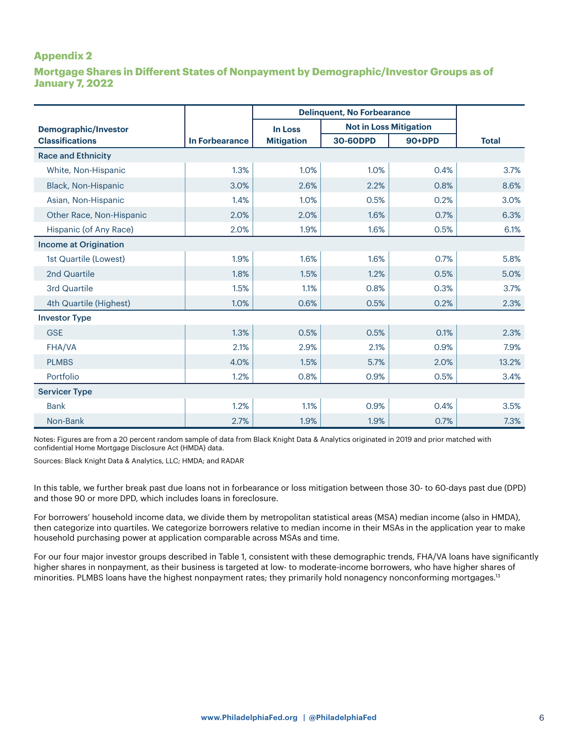## **Appendix 2**

**Mortgage Shares in Different States of Nonpayment by Demographic/Investor Groups as of January 7, 2022**

|                              |                | <b>Delinquent, No Forbearance</b> |                               |        |              |  |
|------------------------------|----------------|-----------------------------------|-------------------------------|--------|--------------|--|
| <b>Demographic/Investor</b>  |                | <b>In Loss</b>                    | <b>Not in Loss Mitigation</b> |        |              |  |
| <b>Classifications</b>       | In Forbearance | <b>Mitigation</b>                 | 30-60DPD                      | 90+DPD | <b>Total</b> |  |
| <b>Race and Ethnicity</b>    |                |                                   |                               |        |              |  |
| White, Non-Hispanic          | 1.3%           | 1.0%                              | 1.0%                          | 0.4%   | 3.7%         |  |
| Black, Non-Hispanic          | 3.0%           | 2.6%                              | 2.2%                          | 0.8%   | 8.6%         |  |
| Asian, Non-Hispanic          | 1.4%           | 1.0%                              | 0.5%                          | 0.2%   | 3.0%         |  |
| Other Race, Non-Hispanic     | 2.0%           | 2.0%                              | 1.6%                          | 0.7%   | 6.3%         |  |
| Hispanic (of Any Race)       | 2.0%           | 1.9%                              | 1.6%                          | 0.5%   | 6.1%         |  |
| <b>Income at Origination</b> |                |                                   |                               |        |              |  |
| 1st Quartile (Lowest)        | 1.9%           | 1.6%                              | 1.6%                          | 0.7%   | 5.8%         |  |
| 2nd Quartile                 | 1.8%           | 1.5%                              | 1.2%                          | 0.5%   | 5.0%         |  |
| 3rd Quartile                 | 1.5%           | 1.1%                              | 0.8%                          | 0.3%   | 3.7%         |  |
| 4th Quartile (Highest)       | 1.0%           | 0.6%                              | 0.5%                          | 0.2%   | 2.3%         |  |
| <b>Investor Type</b>         |                |                                   |                               |        |              |  |
| <b>GSE</b>                   | 1.3%           | 0.5%                              | 0.5%                          | 0.1%   | 2.3%         |  |
| FHA/VA                       | 2.1%           | 2.9%                              | 2.1%                          | 0.9%   | 7.9%         |  |
| <b>PLMBS</b>                 | 4.0%           | 1.5%                              | 5.7%                          | 2.0%   | 13.2%        |  |
| Portfolio                    | 1.2%           | 0.8%                              | 0.9%                          | 0.5%   | 3.4%         |  |
| <b>Servicer Type</b>         |                |                                   |                               |        |              |  |
| <b>Bank</b>                  | 1.2%           | 1.1%                              | 0.9%                          | 0.4%   | 3.5%         |  |
| Non-Bank                     | 2.7%           | 1.9%                              | 1.9%                          | 0.7%   | 7.3%         |  |

Notes: Figures are from a 20 percent random sample of data from Black Knight Data & Analytics originated in 2019 and prior matched with confidential Home Mortgage Disclosure Act (HMDA) data.

Sources: Black Knight Data & Analytics, LLC; HMDA; and RADAR

In this table, we further break past due loans not in forbearance or loss mitigation between those 30- to 60-days past due (DPD) and those 90 or more DPD, which includes loans in foreclosure.

For borrowers' household income data, we divide them by metropolitan statistical areas (MSA) median income (also in HMDA), then categorize into quartiles. We categorize borrowers relative to median income in their MSAs in the application year to make household purchasing power at application comparable across MSAs and time.

For our four major investor groups described in Table 1, consistent with these demographic trends, FHA/VA loans have significantly higher shares in nonpayment, as their business is targeted at low- to moderate-income borrowers, who have higher shares of minorities. PLMBS loans have the highest nonpayment rates; they primarily hold nonagency nonconforming mortgages.13